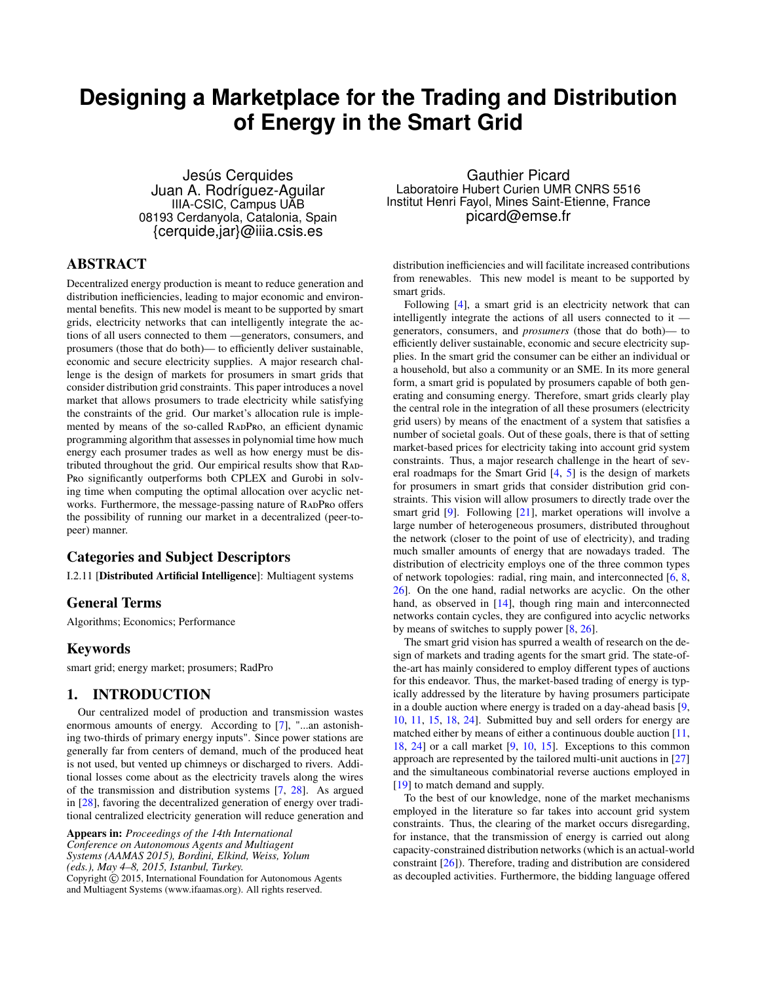# <span id="page-0-0"></span>**Designing a Marketplace for the Trading and Distribution of Energy in the Smart Grid**

Jesús Cerquides Juan A. Rodríguez-Aguilar IIIA-CSIC, Campus UAB 08193 Cerdanyola, Catalonia, Spain {cerquide,jar}@iiia.csis.es

## ABSTRACT

Decentralized energy production is meant to reduce generation and distribution inefficiencies, leading to major economic and environmental benefits. This new model is meant to be supported by smart grids, electricity networks that can intelligently integrate the actions of all users connected to them —generators, consumers, and prosumers (those that do both)— to efficiently deliver sustainable, economic and secure electricity supplies. A major research challenge is the design of markets for prosumers in smart grids that consider distribution grid constraints. This paper introduces a novel market that allows prosumers to trade electricity while satisfying the constraints of the grid. Our market's allocation rule is implemented by means of the so-called RADPRO, an efficient dynamic programming algorithm that assesses in polynomial time how much energy each prosumer trades as well as how energy must be distributed throughout the grid. Our empirical results show that RAD-Pro significantly outperforms both CPLEX and Gurobi in solving time when computing the optimal allocation over acyclic networks. Furthermore, the message-passing nature of RADPRO offers the possibility of running our market in a decentralized (peer-topeer) manner.

## Categories and Subject Descriptors

I.2.11 [Distributed Artificial Intelligence]: Multiagent systems

### General Terms

Algorithms; Economics; Performance

### Keywords

smart grid; energy market; prosumers; RadPro

### 1. INTRODUCTION

Our centralized model of production and transmission wastes enormous amounts of energy. According to [\[7\]](#page-8-0), "...an astonishing two-thirds of primary energy inputs". Since power stations are generally far from centers of demand, much of the produced heat is not used, but vented up chimneys or discharged to rivers. Additional losses come about as the electricity travels along the wires of the transmission and distribution systems [\[7,](#page-8-0) [28\]](#page-8-1). As argued in [\[28\]](#page-8-1), favoring the decentralized generation of energy over traditional centralized electricity generation will reduce generation and

Appears in: *Proceedings of the 14th International Conference on Autonomous Agents and Multiagent Systems (AAMAS 2015), Bordini, Elkind, Weiss, Yolum (eds.), May 4–8, 2015, Istanbul, Turkey.* Copyright © 2015, International Foundation for Autonomous Agents and Multiagent Systems (www.ifaamas.org). All rights reserved.

Gauthier Picard Laboratoire Hubert Curien UMR CNRS 5516 Institut Henri Fayol, Mines Saint-Etienne, France picard@emse.fr

distribution inefficiencies and will facilitate increased contributions from renewables. This new model is meant to be supported by smart grids.

Following [\[4\]](#page-8-2), a smart grid is an electricity network that can intelligently integrate the actions of all users connected to it generators, consumers, and *prosumers* (those that do both)— to efficiently deliver sustainable, economic and secure electricity supplies. In the smart grid the consumer can be either an individual or a household, but also a community or an SME. In its more general form, a smart grid is populated by prosumers capable of both generating and consuming energy. Therefore, smart grids clearly play the central role in the integration of all these prosumers (electricity grid users) by means of the enactment of a system that satisfies a number of societal goals. Out of these goals, there is that of setting market-based prices for electricity taking into account grid system constraints. Thus, a major research challenge in the heart of several roadmaps for the Smart Grid [\[4,](#page-8-2) [5\]](#page-8-3) is the design of markets for prosumers in smart grids that consider distribution grid constraints. This vision will allow prosumers to directly trade over the smart grid [\[9\]](#page-8-4). Following [\[21\]](#page-8-5), market operations will involve a large number of heterogeneous prosumers, distributed throughout the network (closer to the point of use of electricity), and trading much smaller amounts of energy that are nowadays traded. The distribution of electricity employs one of the three common types of network topologies: radial, ring main, and interconnected [\[6,](#page-8-6) [8,](#page-8-7) [26\]](#page-8-8). On the one hand, radial networks are acyclic. On the other hand, as observed in [\[14\]](#page-8-9), though ring main and interconnected networks contain cycles, they are configured into acyclic networks by means of switches to supply power [\[8,](#page-8-7) [26\]](#page-8-8).

The smart grid vision has spurred a wealth of research on the design of markets and trading agents for the smart grid. The state-ofthe-art has mainly considered to employ different types of auctions for this endeavor. Thus, the market-based trading of energy is typically addressed by the literature by having prosumers participate in a double auction where energy is traded on a day-ahead basis [\[9,](#page-8-4) [10,](#page-8-10) [11,](#page-8-11) [15,](#page-8-12) [18,](#page-8-13) [24\]](#page-8-14). Submitted buy and sell orders for energy are matched either by means of either a continuous double auction [\[11,](#page-8-11) [18,](#page-8-13) [24\]](#page-8-14) or a call market [\[9,](#page-8-4) [10,](#page-8-10) [15\]](#page-8-12). Exceptions to this common approach are represented by the tailored multi-unit auctions in [\[27\]](#page-8-15) and the simultaneous combinatorial reverse auctions employed in [\[19\]](#page-8-16) to match demand and supply.

To the best of our knowledge, none of the market mechanisms employed in the literature so far takes into account grid system constraints. Thus, the clearing of the market occurs disregarding, for instance, that the transmission of energy is carried out along capacity-constrained distribution networks (which is an actual-world constraint [\[26\]](#page-8-8)). Therefore, trading and distribution are considered as decoupled activities. Furthermore, the bidding language offered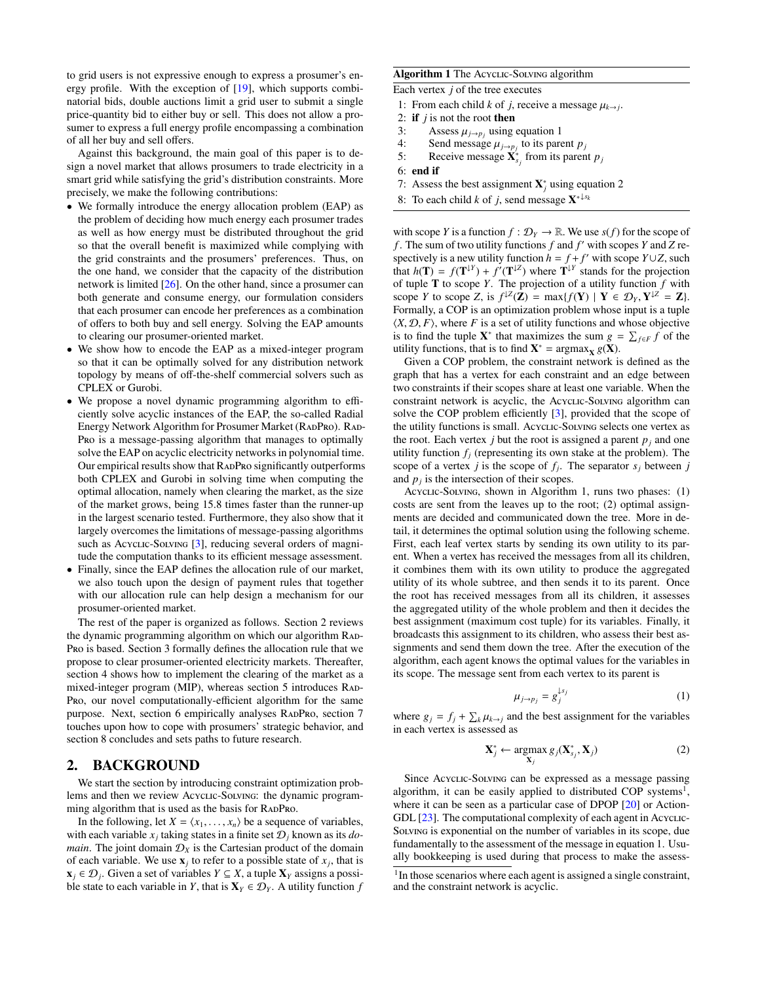to grid users is not expressive enough to express a prosumer's energy profile. With the exception of [\[19\]](#page-8-16), which supports combinatorial bids, double auctions limit a grid user to submit a single price-quantity bid to either buy or sell. This does not allow a prosumer to express a full energy profile encompassing a combination of all her buy and sell offers.

Against this background, the main goal of this paper is to design a novel market that allows prosumers to trade electricity in a smart grid while satisfying the grid's distribution constraints. More precisely, we make the following contributions:

- We formally introduce the energy allocation problem (EAP) as the problem of deciding how much energy each prosumer trades as well as how energy must be distributed throughout the grid so that the overall benefit is maximized while complying with the grid constraints and the prosumers' preferences. Thus, on the one hand, we consider that the capacity of the distribution network is limited [\[26\]](#page-8-8). On the other hand, since a prosumer can both generate and consume energy, our formulation considers that each prosumer can encode her preferences as a combination of offers to both buy and sell energy. Solving the EAP amounts to clearing our prosumer-oriented market.
- We show how to encode the EAP as a mixed-integer program so that it can be optimally solved for any distribution network topology by means of off-the-shelf commercial solvers such as CPLEX or Gurobi.
- We propose a novel dynamic programming algorithm to efficiently solve acyclic instances of the EAP, the so-called [Radial](#page-0-0) [Energy Network Algorithm for Prosumer Market](#page-0-0) [\(R](#page-0-0)ADPRO). RAD-P[ro](#page-0-0) is a message-passing algorithm that manages to optimally solve the EAP on acyclic electricity networks in polynomial time. Our empirical results show that RADPRO significantly outperforms both CPLEX and Gurobi in solving time when computing the optimal allocation, namely when clearing the market, as the size of the market grows, being 15.8 times faster than the runner-up in the largest scenario tested. Furthermore, they also show that it largely overcomes the limitations of message-passing algorithms such as Acyclic-Solving [\[3\]](#page-8-17), reducing several orders of magnitude the computation thanks to its efficient message assessment.
- Finally, since the EAP defines the allocation rule of our market, we also touch upon the design of payment rules that together with our allocation rule can help design a mechanism for our prosumer-oriented market.

The rest of the paper is organized as follows. Section [2](#page-1-0) reviews the dynamic programming algorithm on which our algorithm RAD-P[ro](#page-0-0) is based. Section [3](#page-2-0) formally defines the allocation rule that we propose to clear prosumer-oriented electricity markets. Thereafter, section [4](#page-3-0) shows how to implement the clearing of the market as a mixed-integer program (MIP), whereas section [5](#page-3-1) introduces RAD-P[ro](#page-0-0), our novel computationally-efficient algorithm for the same purpose. Next, section [6](#page-6-0) empirically analyses RADPRO, section [7](#page-7-0) touches upon how to cope with prosumers' strategic behavior, and section [8](#page-7-1) concludes and sets paths to future research.

### <span id="page-1-0"></span>2. BACKGROUND

We start the section by introducing constraint optimization problems and then we review Acyclic-Solving: the dynamic programming algorithm that is used as the basis for RADPRO.

In the following, let  $X = \langle x_1, \ldots, x_n \rangle$  be a sequence of variables, with each variable  $x_j$  taking states in a finite set  $\mathcal{D}_j$  known as its *domain*. The joint domain  $\mathcal{D}_X$  is the Cartesian product of the domain of each variable. We use  $\mathbf{x}_j$  to refer to a possible state of  $x_j$ , that is  $\mathbf{x}_j$  ∈  $\mathcal{D}_j$ . Given a set of variables  $Y \subseteq X$ , a tuple  $\mathbf{X}_Y$  assigns a possible state to each variable in *Y*, that is  $X_Y \in \mathcal{D}_Y$ . A utility function *f* 

#### <span id="page-1-3"></span>Algorithm 1 The Acyclic-Solving algorithm

Each vertex  $j$  of the tree executes

- 1: From each child *k* of *j*, receive a message  $\mu_{k\to j}$ .<br>2: **if** *j* is not the root **then**
- if  $j$  is not the root then
- 3: Assess  $\mu_{j\to p_j}$  using equation [1](#page-1-1)<br>4. Send message  $\mu_i$  to its pare
- 4: Send message  $\mu_{j\to p_j}$  to its parent  $p_j$ <br>5. Receive message  $\mathbf{X}^*$  from its parent
- 5: Receive message  $\mathbf{X}_{s_j}^*$  from its parent  $p_j$
- 6: end if
- 7: Assess the best assignment  $X^*_{j}$  using equation [2](#page-1-2)
- 8: To each child *k* of *j*, send message  $X^{* \downarrow s_k}$

with scope *Y* is a function  $f : \mathcal{D}_Y \to \mathbb{R}$ . We use  $s(f)$  for the scope of *f*. The sum of two utility functions  $f$  and  $f'$  with scopes  $Y$  and  $Z$  respectively is a new utility function  $h = f + f'$  with scope  $Y \cup Z$ , such that  $h(\mathbf{T}) = f(\mathbf{T}^{\downarrow Y}) + f'(\mathbf{T}^{\downarrow Z})$  where  $\mathbf{T}^{\downarrow Y}$  stands for the projection of tuple **T** to scope *Y*. The projection of a utility function  $f$  with scope *Y* to scope *Z*, is  $f^{\downarrow Z}(\mathbf{Z}) = \max\{f(\mathbf{Y}) \mid \mathbf{Y} \in \mathcal{D}_Y, \mathbf{Y}^{\downarrow Z} = \mathbf{Z}\}\.$ <br>Formally a COP is an optimization problem whose input is a tuple Formally, a COP is an optimization problem whose input is a tuple  $\langle X, \mathcal{D}, F \rangle$ , where *F* is a set of utility functions and whose objective is to find the tuple  $X^*$  that maximizes the sum  $g = \sum_{f \in F} f$  of the utility functions, that is to find  $X^* = \text{argmax}_X g(X)$ .

Given a COP problem, the constraint network is defined as the graph that has a vertex for each constraint and an edge between two constraints if their scopes share at least one variable. When the constraint network is acyclic, the Acyclic-Solving algorithm can solve the COP problem efficiently [\[3\]](#page-8-17), provided that the scope of the utility functions is small. Acyclic-Solving selects one vertex as the root. Each vertex *j* but the root is assigned a parent  $p_i$  and one utility function  $f_i$  (representing its own stake at the problem). The scope of a vertex *j* is the scope of  $f_j$ . The separator  $s_j$  between *j* and  $p_j$  is the intersection of their scopes.

Acyclic-Solving, shown in Algorithm [1,](#page-1-3) runs two phases: (1) costs are sent from the leaves up to the root; (2) optimal assignments are decided and communicated down the tree. More in detail, it determines the optimal solution using the following scheme. First, each leaf vertex starts by sending its own utility to its parent. When a vertex has received the messages from all its children, it combines them with its own utility to produce the aggregated utility of its whole subtree, and then sends it to its parent. Once the root has received messages from all its children, it assesses the aggregated utility of the whole problem and then it decides the best assignment (maximum cost tuple) for its variables. Finally, it broadcasts this assignment to its children, who assess their best assignments and send them down the tree. After the execution of the algorithm, each agent knows the optimal values for the variables in its scope. The message sent from each vertex to its parent is

<span id="page-1-1"></span>
$$
\mu_{j \to p_j} = g_j^{\downarrow s_j} \tag{1}
$$

where  $g_j = f_j + \sum_k \mu_{k \to j}$  and the best assignment for the variables<br>in each vertex is assessed as in each vertex is assessed as

<span id="page-1-2"></span>
$$
\mathbf{X}_{j}^{*} \leftarrow \operatorname*{argmax}_{\mathbf{X}_{j}} g_{j}(\mathbf{X}_{s_{j}}^{*}, \mathbf{X}_{j})
$$
 (2)

Since Acyclic-Solving can be expressed as a message passing algorithm, it can be easily applied to distributed COP systems<sup>[1](#page-1-4)</sup>, where it can be seen as a particular case of DPOP [\[20\]](#page-8-18) or Action-GDL [\[23\]](#page-8-19). The computational complexity of each agent in Acyclic-Solving is exponential on the number of variables in its scope, due fundamentally to the assessment of the message in equation [1.](#page-1-1) Usually bookkeeping is used during that process to make the assess-

<span id="page-1-4"></span><sup>&</sup>lt;sup>1</sup>In those scenarios where each agent is assigned a single constraint, and the constraint network is acyclic.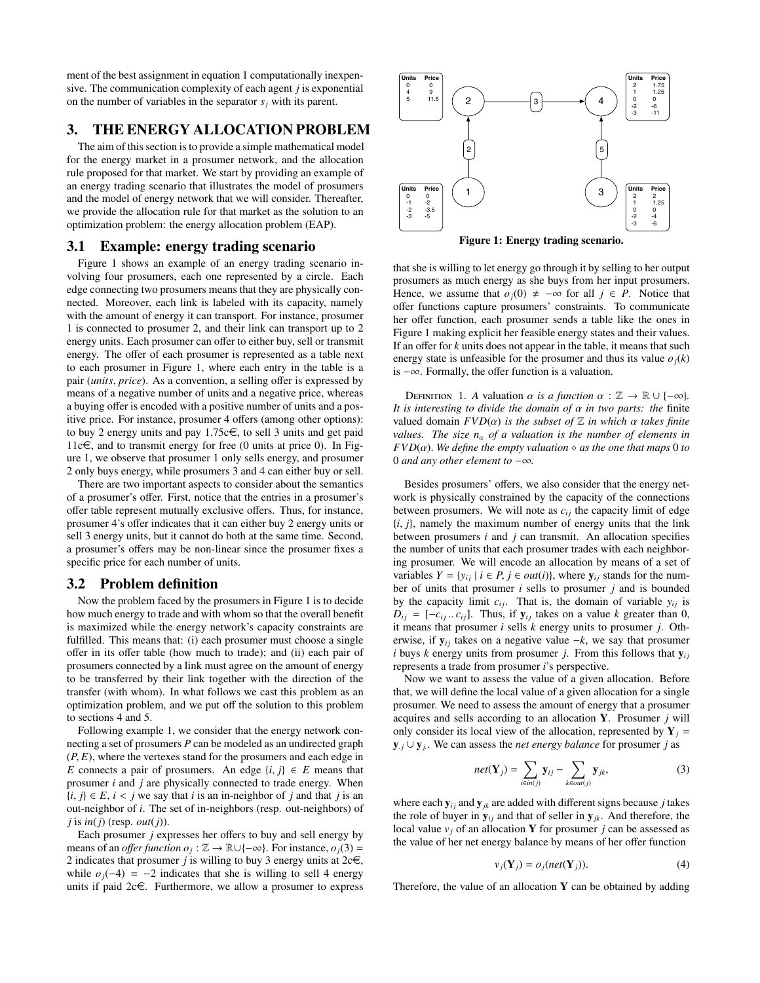ment of the best assignment in equation [1](#page-1-1) computationally inexpensive. The communication complexity of each agent *j* is exponential on the number of variables in the separator  $s_i$  with its parent.

### <span id="page-2-0"></span>3. THE ENERGY ALLOCATION PROBLEM

The aim of this section is to provide a simple mathematical model for the energy market in a prosumer network, and the allocation rule proposed for that market. We start by providing an example of an energy trading scenario that illustrates the model of prosumers and the model of energy network that we will consider. Thereafter, we provide the allocation rule for that market as the solution to an optimization problem: the energy allocation problem (EAP).

#### 3.1 Example: energy trading scenario

Figure [1](#page-2-1) shows an example of an energy trading scenario involving four prosumers, each one represented by a circle. Each edge connecting two prosumers means that they are physically connected. Moreover, each link is labeled with its capacity, namely with the amount of energy it can transport. For instance, prosumer 1 is connected to prosumer 2, and their link can transport up to 2 energy units. Each prosumer can offer to either buy, sell or transmit energy. The offer of each prosumer is represented as a table next to each prosumer in Figure [1,](#page-2-1) where each entry in the table is a pair (*units*, *price*). As a convention, a selling offer is expressed by means of a negative number of units and a negative price, whereas a buying offer is encoded with a positive number of units and a positive price. For instance, prosumer 4 offers (among other options): to buy 2 energy units and pay 1.75 $c \in$ , to sell 3 units and get paid  $11c \in$ , and to transmit energy for free (0 units at price 0). In Figure [1,](#page-2-1) we observe that prosumer 1 only sells energy, and prosumer 2 only buys energy, while prosumers 3 and 4 can either buy or sell.

There are two important aspects to consider about the semantics of a prosumer's offer. First, notice that the entries in a prosumer's offer table represent mutually exclusive offers. Thus, for instance, prosumer 4's offer indicates that it can either buy 2 energy units or sell 3 energy units, but it cannot do both at the same time. Second, a prosumer's offers may be non-linear since the prosumer fixes a specific price for each number of units.

### 3.2 Problem definition

Now the problem faced by the prosumers in Figure [1](#page-2-1) is to decide how much energy to trade and with whom so that the overall benefit is maximized while the energy network's capacity constraints are fulfilled. This means that: (i) each prosumer must choose a single offer in its offer table (how much to trade); and (ii) each pair of prosumers connected by a link must agree on the amount of energy to be transferred by their link together with the direction of the transfer (with whom). In what follows we cast this problem as an optimization problem, and we put off the solution to this problem to sections [4](#page-3-0) and [5.](#page-3-1)

Following example [1,](#page-2-1) we consider that the energy network connecting a set of prosumers *P* can be modeled as an undirected graph (*P*, *<sup>E</sup>*), where the vertexes stand for the prosumers and each edge in *E* connects a pair of prosumers. An edge  $\{i, j\} \in E$  means that prosumer *i* and *j* are physically connected to trade energy. When  ${i, j} \in E$ ,  ${i < j}$  we say that *i* is an in-neighbor of *j* and that *j* is an out-neighbor of *i*. The set of in-neighbors (resp. out-neighbors) of *j* is *in*(*j*) (resp. *out*(*j*)).

Each prosumer *j* expresses her offers to buy and sell energy by means of an *offer function*  $o_j : \mathbb{Z} \to \mathbb{R} \cup \{-\infty\}$ *.* For instance,  $o_j(3) =$ 2 indicates that prosumer *j* is willing to buy 3 energy units at  $2c \in$ , while  $o_j(-4) = -2$  indicates that she is willing to sell 4 energy units if paid  $2c \in$ . Furthermore, we allow a prosumer to express



<span id="page-2-4"></span><span id="page-2-1"></span>Figure 1: Energy trading scenario.

that she is willing to let energy go through it by selling to her output prosumers as much energy as she buys from her input prosumers. Hence, we assume that  $o_j(0) \neq -\infty$  for all  $j \in P$ . Notice that offer functions capture prosumers' constraints. To communicate her offer function, each prosumer sends a table like the ones in Figure [1](#page-2-1) making explicit her feasible energy states and their values. If an offer for *k* units does not appear in the table, it means that such energy state is unfeasible for the prosumer and thus its value  $o_j(k)$ is −∞. Formally, the offer function is a valuation.

DEFINITION 1. A valuation  $\alpha$  *is a function*  $\alpha : \mathbb{Z} \to \mathbb{R} \cup \{-\infty\}.$ *It is interesting to divide the domain of* α *in two parts: the* finite valued domain  $FVD(\alpha)$  *is the subset of*  $\mathbb Z$  *in which*  $\alpha$  *takes finite values. The size*  $n_{\alpha}$  *of a valuation is the number of elements in*  $FVD(\alpha)$ *. We define the empty valuation*  $\diamond$  *as the one that maps* 0 *to* 0 *and any other element to* −∞*.*

Besides prosumers' offers, we also consider that the energy network is physically constrained by the capacity of the connections between prosumers. We will note as  $c_{ii}$  the capacity limit of edge  ${i, j}$ , namely the maximum number of energy units that the link between prosumers *i* and *j* can transmit. An allocation specifies the number of units that each prosumer trades with each neighboring prosumer. We will encode an allocation by means of a set of variables  $Y = \{y_{ij} | i \in P, j \in out(i)\}$ , where  $y_{ij}$  stands for the number of units that prosumer *i* sells to prosumer *j* and is bounded by the capacity limit  $c_{ij}$ . That is, the domain of variable  $y_{ij}$  is  $D_{ij} = [-c_{ij} \dots c_{ij}]$ . Thus, if  $y_{ij}$  takes on a value *k* greater than 0, it means that prosumer *i* sells *k* energy units to prosumer *j*. Otherwise, if  $y_{ij}$  takes on a negative value  $-k$ , we say that prosumer *i* buys *k* energy units from prosumer *j*. From this follows that  $y_{ij}$ represents a trade from prosumer *i*'s perspective.

Now we want to assess the value of a given allocation. Before that, we will define the local value of a given allocation for a single prosumer. We need to assess the amount of energy that a prosumer acquires and sells according to an allocation Y. Prosumer *j* will only consider its local view of the allocation, represented by  $Y_i =$ <sup>y</sup>. *<sup>j</sup>* <sup>∪</sup> <sup>y</sup>*<sup>j</sup>*. . We can assess the *net energy balance* for prosumer *j* as

<span id="page-2-2"></span>
$$
net(\mathbf{Y}_j) = \sum_{i \in in(j)} \mathbf{y}_{ij} - \sum_{k \in out(j)} \mathbf{y}_{jk},
$$
\n(3)

where each  $y_{ij}$  and  $y_{jk}$  are added with different signs because *j* takes the role of buyer in  $y_{ii}$  and that of seller in  $y_{ik}$ . And therefore, the local value  $v_j$  of an allocation Y for prosumer *j* can be assessed as the value of her net energy balance by means of her offer function

<span id="page-2-3"></span>
$$
v_j(\mathbf{Y}_j) = o_j(net(\mathbf{Y}_j)).\tag{4}
$$

Therefore, the value of an allocation  $Y$  can be obtained by adding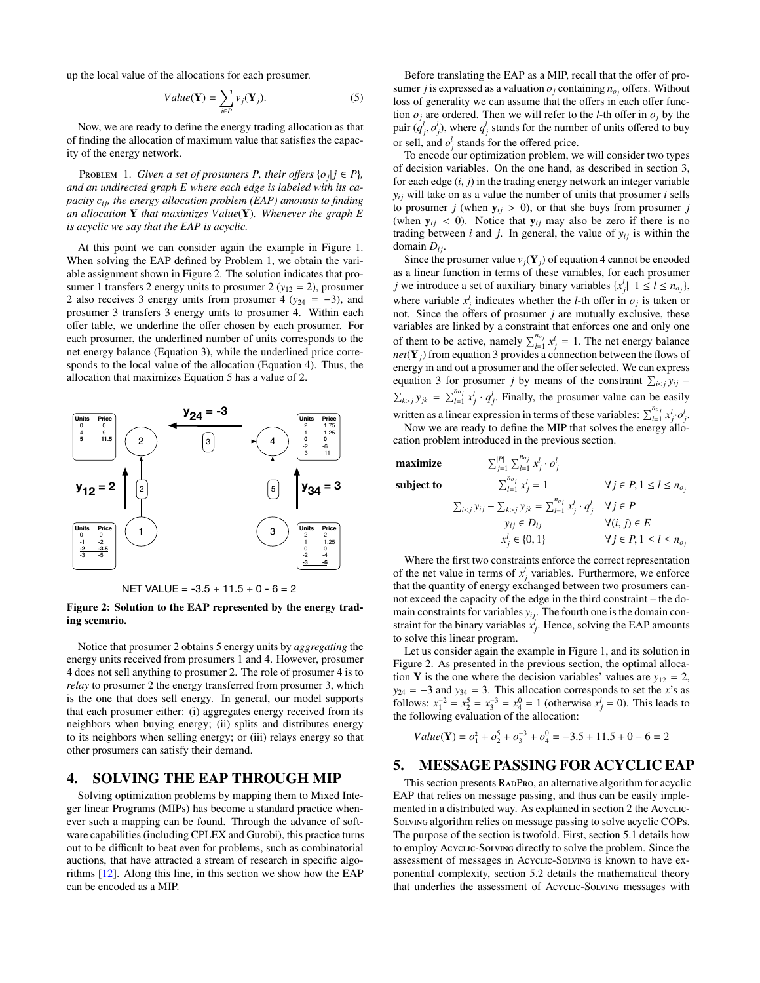up the local value of the allocations for each prosumer.

<span id="page-3-4"></span><span id="page-3-2"></span>
$$
Value(\mathbf{Y}) = \sum_{i \in P} v_j(\mathbf{Y}_j). \tag{5}
$$

Now, we are ready to define the energy trading allocation as that of finding the allocation of maximum value that satisfies the capacity of the energy network.

PROBLEM 1. *Given a set of prosumers P, their offers*  $\{o_j | j \in P\}$ , *and an undirected graph E where each edge is labeled with its capacity c<sub>ii</sub>, the energy allocation problem (EAP) amounts to finding an allocation* Y *that maximizes Value*(Y)*. Whenever the graph E is acyclic we say that the EAP is acyclic.*

At this point we can consider again the example in Figure [1.](#page-2-1) When solving the EAP defined by Problem [1,](#page-3-2) we obtain the variable assignment shown in Figure [2.](#page-3-3) The solution indicates that prosumer 1 transfers 2 energy units to prosumer 2 ( $y_{12} = 2$ ), prosumer 2 also receives 3 energy units from prosumer 4 ( $y_{24} = -3$ ), and prosumer 3 transfers 3 energy units to prosumer 4. Within each offer table, we underline the offer chosen by each prosumer. For each prosumer, the underlined number of units corresponds to the net energy balance (Equation [3\)](#page-2-2), while the underlined price corresponds to the local value of the allocation (Equation [4\)](#page-2-3). Thus, the allocation that maximizes Equation [5](#page-3-4) has a value of 2.



<span id="page-3-3"></span>NET VALUE =  $-3.5 + 11.5 + 0 - 6 = 2$ 

Figure 2: Solution to the EAP represented by the energy trading scenario.

Notice that prosumer 2 obtains 5 energy units by *aggregating* the energy units received from prosumers 1 and 4. However, prosumer 4 does not sell anything to prosumer 2. The role of prosumer 4 is to *relay* to prosumer 2 the energy transferred from prosumer 3, which is the one that does sell energy. In general, our model supports that each prosumer either: (i) aggregates energy received from its neighbors when buying energy; (ii) splits and distributes energy to its neighbors when selling energy; or (iii) relays energy so that other prosumers can satisfy their demand.

### <span id="page-3-0"></span>4. SOLVING THE EAP THROUGH MIP

Solving optimization problems by mapping them to Mixed Integer linear Programs (MIPs) has become a standard practice whenever such a mapping can be found. Through the advance of software capabilities (including CPLEX and Gurobi), this practice turns out to be difficult to beat even for problems, such as combinatorial auctions, that have attracted a stream of research in specific algorithms [\[12\]](#page-8-20). Along this line, in this section we show how the EAP can be encoded as a MIP.

Before translating the EAP as a MIP, recall that the offer of prosumer *j* is expressed as a valuation  $o_j$  containing  $n_{o_j}$  offers. Without loss of generality we can assume that the offers in each offer function  $o_j$  are ordered. Then we will refer to the *l*-th offer in  $o_j$  by the pair  $(q^l_j, o^l_j)$ , where  $q^l_j$  stands for the number of units offered to buy or sell, and  $o_j^l$  stands for the offered price.

To encode our optimization problem, we will consider two types of decision variables. On the one hand, as described in section [3,](#page-2-0) for each edge (*i*, *<sup>j</sup>*) in the trading energy network an integer variable  $y_{ij}$  will take on as a value the number of units that prosumer *i* sells to prosumer *j* (when  $y_{ij} > 0$ ), or that she buys from prosumer *j* (when  $y_{ij}$  < 0). Notice that  $y_{ij}$  may also be zero if there is no trading between *i* and *j*. In general, the value of  $y_{ij}$  is within the domain  $D_{ij}$ .

Since the prosumer value  $v_j(\mathbf{Y}_j)$  of equation [4](#page-2-3) cannot be encoded as a linear function in terms of these variables, for each prosumer *j* we introduce a set of auxiliary binary variables  $\{x_j^l | 1 \le l \le n_{o_j}\}$ , where variable  $x_j^l$  indicates whether the *l*-th offer in  $o_j$  is taken or not. Since the offers of prosumer *j* are mutually exclusive, these variables are linked by a constraint that enforces one and only one of them to be active, namely  $\sum_{l=1}^{n_{oj}} x_j^l = 1$ . The net energy balance *net*(**Y**<sub>*j*</sub>) from equation [3](#page-2-2) provides a connection between the flows of energy in and out a prosumer and the offer selected. We can express equation [3](#page-2-2) for prosumer *j* by means of the constraint  $\sum_{i < j} y_{ij}$  −  $\sum_{k>j} y_{jk} = \sum_{l=1}^{n_{oj}} x_j^l \cdot q_j^l$ . Finally, the prosumer value can be easily written as a linear expression in terms of these variables:  $\sum_{l=1}^{n_{o_j}} x_j^l \cdot o_j^l$ 

Now we are ready to define the MIP that solves the energy allocation problem introduced in the previous section.

> $j=1$   $\omega_{l=1}$   $\alpha_j$   $\omega_j$  $\sum_{l=1}^{n_{oj}} x_i^l \cdot o^l$

maximize P<sup>|</sup>*P*<sup>|</sup>

subject to <sup>P</sup>*<sup>n</sup><sup>o</sup> <sup>j</sup>*

$$
\sum_{l=1}^{n_{oj}} x_j^l = 1 \qquad \forall j \in P, 1 \le l \le n_{oj}
$$
  

$$
\sum_{i < j} y_{ij} - \sum_{k > j} y_{jk} = \sum_{l=1}^{n_{oj}} x_j^l \cdot q_j^l \quad \forall j \in P
$$
  

$$
y_{ij} \in D_{ij} \qquad \forall (i, j) \in E
$$
  

$$
x_j^l \in \{0, 1\} \qquad \forall j \in P, 1 \le l \le n_{oj}
$$

Where the first two constraints enforce the correct representation of the net value in terms of  $x_j^l$  variables. Furthermore, we enforce that the quantity of energy exchanged between two prosumers cannot exceed the capacity of the edge in the third constraint – the domain constraints for variables  $y_{ij}$ . The fourth one is the domain constraint for the binary variables  $x_j^j$ . Hence, solving the EAP amounts to solve this linear program.

Let us consider again the example in Figure [1,](#page-2-1) and its solution in Figure [2.](#page-3-3) As presented in the previous section, the optimal allocation Y is the one where the decision variables' values are  $y_{12} = 2$ , *y*<sub>24</sub> = −3 and *y*<sub>34</sub> = 3. This allocation corresponds to set the *x*'s as follows:  $x_1^{-2} = x_2^5 = x_3^{-3} = x_4^0 = 1$  (otherwise  $x_j^l = 0$ ). This leads to the following evaluation of the allocation:

$$
Value(\mathbf{Y}) = o_1^2 + o_2^5 + o_3^{-3} + o_4^0 = -3.5 + 11.5 + 0 - 6 = 2
$$

# <span id="page-3-1"></span>5. MESSAGE PASSING FOR ACYCLIC EAP

This section presents RADPRO, an alternative algorithm for acyclic EAP that relies on message passing, and thus can be easily imple-mented in a distributed way. As explained in section [2](#page-1-0) the Acyclic-Solving algorithm relies on message passing to solve acyclic COPs. The purpose of the section is twofold. First, section [5.1](#page-4-0) details how to employ Acyclic-Solving directly to solve the problem. Since the assessment of messages in Acyclic-Solving is known to have exponential complexity, section [5.2](#page-4-1) details the mathematical theory that underlies the assessment of Acyclic-Solving messages with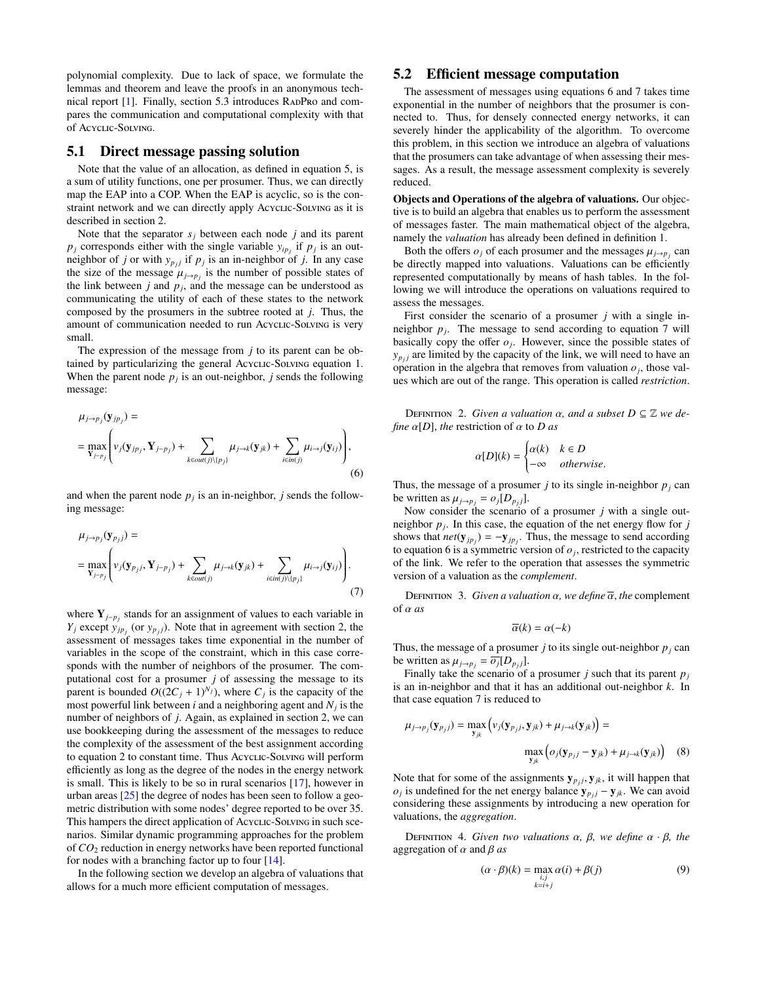polynomial complexity. Due to lack of space, we formulate the lemmas and theorem and leave the proofs in an anonymous technical report  $[1]$ . Finally, section [5.3](#page-5-0) introduces RADPRO and compares the communication and computational complexity with that of Acyclic-Solving.

### <span id="page-4-0"></span>5.1 Direct message passing solution

Note that the value of an allocation, as defined in equation [5,](#page-3-4) is a sum of utility functions, one per prosumer. Thus, we can directly map the EAP into a COP. When the EAP is acyclic, so is the constraint network and we can directly apply Acyclic-Solving as it is described in section [2.](#page-1-0)

Note that the separator  $s_j$  between each node  $j$  and its parent  $p_j$  corresponds either with the single variable  $y_{ip_j}$  if  $p_j$  is an outneighbor of *j* or with  $y_{p_j}$  if  $p_j$  is an in-neighbor of *j*. In any case the size of the message  $\mu_{j\to p_j}$  is the number of possible states of the link between *i* and *n*, and the message can be understood as the link between  $j$  and  $p_j$ , and the message can be understood as communicating the utility of each of these states to the network composed by the prosumers in the subtree rooted at *j*. Thus, the amount of communication needed to run Acyclic-Solving is very small.

The expression of the message from *j* to its parent can be ob-tained by particularizing the general Acyclic-Solving equation [1.](#page-1-1) When the parent node  $p_j$  is an out-neighbor,  $j$  sends the following message:

$$
\mu_{j \to p_j}(\mathbf{y}_{jp_j}) =\n= \max_{\mathbf{Y}_{j-p_j}} \left( v_j(\mathbf{y}_{jp_j}, \mathbf{Y}_{j-p_j}) + \sum_{k \in out(j) \setminus \{p_j\}} \mu_{j \to k}(\mathbf{y}_{jk}) + \sum_{i \in in(j)} \mu_{i \to j}(\mathbf{y}_{ij}) \right),
$$
\n(6)

and when the parent node  $p_j$  is an in-neighbor,  $j$  sends the following message:

$$
\mu_{j \to p_j}(\mathbf{y}_{p_j j}) =
$$
\n
$$
= \max_{\mathbf{Y}_{j-p_j}} \left( v_j(\mathbf{y}_{p_j j}, \mathbf{Y}_{j-p_j}) + \sum_{k \in out(j)} \mu_{j \to k}(\mathbf{y}_{jk}) + \sum_{i \in in(j) \setminus \{p_j\}} \mu_{i \to j}(\mathbf{y}_{ij}) \right).
$$
\n(7)

where Y*j*−*p<sup>j</sup>* stands for an assignment of values to each variable in *Y*<sup>*j*</sup> except  $y_{jp_j}$  (or  $y_{p_j}$ ). Note that in agreement with section [2,](#page-1-0) the assessment of messages takes time exponential in the number of variables in the scope of the constraint, which in this case corresponds with the number of neighbors of the prosumer. The computational cost for a prosumer *j* of assessing the message to its parent is bounded  $O((2C_j + 1)^{N_j})$ , where  $C_j$  is the capacity of the most powerful link between *i* and a neighboring agent and *N<sup>j</sup>* is the number of neighbors of *j*. Again, as explained in section [2,](#page-1-0) we can use bookkeeping during the assessment of the messages to reduce the complexity of the assessment of the best assignment according to equation [2](#page-1-2) to constant time. Thus Acyclic-Solving will perform efficiently as long as the degree of the nodes in the energy network is small. This is likely to be so in rural scenarios [\[17\]](#page-8-22), however in urban areas [\[25\]](#page-8-23) the degree of nodes has been seen to follow a geometric distribution with some nodes' degree reported to be over 35. This hampers the direct application of Acyclic-Solving in such scenarios. Similar dynamic programming approaches for the problem of *CO*<sup>2</sup> reduction in energy networks have been reported functional for nodes with a branching factor up to four [\[14\]](#page-8-9).

In the following section we develop an algebra of valuations that allows for a much more efficient computation of messages.

### <span id="page-4-1"></span>5.2 Efficient message computation

The assessment of messages using equations [6](#page-4-2) and [7](#page-4-3) takes time exponential in the number of neighbors that the prosumer is connected to. Thus, for densely connected energy networks, it can severely hinder the applicability of the algorithm. To overcome this problem, in this section we introduce an algebra of valuations that the prosumers can take advantage of when assessing their messages. As a result, the message assessment complexity is severely reduced.

Objects and Operations of the algebra of valuations. Our objective is to build an algebra that enables us to perform the assessment of messages faster. The main mathematical object of the algebra, namely the *valuation* has already been defined in definition [1.](#page-2-4)

Both the offers  $o_j$  of each prosumer and the messages  $\mu_{j\rightarrow p_j}$  can directly manned into valuations. Valuations can be efficiently be directly mapped into valuations. Valuations can be efficiently represented computationally by means of hash tables. In the following we will introduce the operations on valuations required to assess the messages.

First consider the scenario of a prosumer *j* with a single inneighbor  $p_j$ . The message to send according to equation [7](#page-4-3) will basically copy the offer  $o_j$ . However, since the possible states of  $y_{p_j}$  are limited by the capacity of the link, we will need to have an operation in the algebra that removes from valuation  $o_j$ , those values which are out of the range. This operation is called *restriction*.

DEFINITION 2. *Given a valuation*  $\alpha$ *, and a subset*  $D \subseteq \mathbb{Z}$  *we define*  $\alpha[D]$ *, the* restriction of  $\alpha$  to *D* as

$$
\alpha[D](k) = \begin{cases} \alpha(k) & k \in D \\ -\infty & otherwise. \end{cases}
$$

<span id="page-4-2"></span>Thus, the message of a prosumer *j* to its single in-neighbor  $p_j$  can be written as  $\mu_{j \to p_j} = o_j[D_{p_jj}]$ .<br>Now consider the scenario.

Now consider the scenario of a prosumer *j* with a single outneighbor  $p_j$ . In this case, the equation of the net energy flow for  $j$ shows that  $net(\mathbf{y}_{jp_j}) = -\mathbf{y}_{jp_j}$ . Thus, the message to send according to equation [6](#page-4-2) is a symmetric version of  $o_j$ , restricted to the capacity of the link. We refer to the operation that assesses the symmetric version of a valuation as the *complement*.

<span id="page-4-3"></span>**DEFINITION** 3. *Given a valuation*  $\alpha$ *, we define*  $\overline{\alpha}$ *, the* complement of α *as*

$$
\overline{\alpha}(k) = \alpha(-k)
$$

Thus, the message of a prosumer *j* to its single out-neighbor  $p_j$  can be written as  $\mu_{j \to p_j} = \overline{o_j}[D_{p_jj}].$ <br>Finally take the scenario of

Finally take the scenario of a prosumer *j* such that its parent  $p_j$ is an in-neighbor and that it has an additional out-neighbor *k*. In that case equation [7](#page-4-3) is reduced to

$$
\mu_{j \to p_j}(\mathbf{y}_{p_j j}) = \max_{\mathbf{y}_{jk}} (\nu_j(\mathbf{y}_{p_j j}, \mathbf{y}_{jk}) + \mu_{j \to k}(\mathbf{y}_{jk})) =
$$
  

$$
\max_{\mathbf{y}_{jk}} (o_j(\mathbf{y}_{p_j j} - \mathbf{y}_{jk}) + \mu_{j \to k}(\mathbf{y}_{jk}))
$$
 (8)

Note that for some of the assignments  $y_{p j}$ ,  $y_{j k}$ , it will happen that  $q_i$  is undefined for the net energy balance  $y_i \rightarrow y_j$ . We can avoid *o*<sup>*j*</sup> is undefined for the net energy balance  $y_{p_jj} - y_{jk}$ . We can avoid considering these assignments by introducing a new operation for valuations, the *aggregation*.

DEFINITION 4. *Given two valuations*  $\alpha$ *,*  $\beta$ *, we define*  $\alpha \cdot \beta$ *, the* aggregation of  $\alpha$  and  $\beta$  *as* 

<span id="page-4-4"></span>
$$
(\alpha \cdot \beta)(k) = \max_{\substack{i,j \\ k=i+j}} \alpha(i) + \beta(j) \tag{9}
$$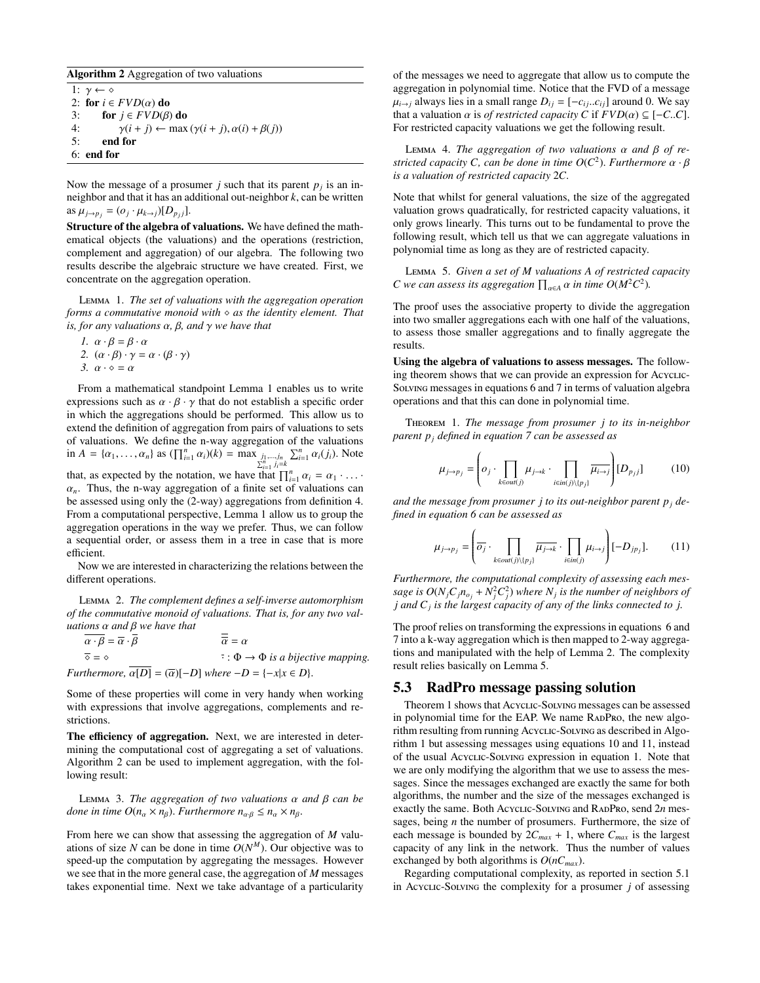#### <span id="page-5-2"></span>Algorithm 2 Aggregation of two valuations

1:  $\gamma \leftarrow \diamond$ 2: for  $i \in FVD(\alpha)$  do<br>3: for  $j \in FVD(\beta)$ 3: **for**  $j \in FVD(\beta)$  **do**<br>4:  $\gamma(i + j) \leftarrow \max$ 4:  $\gamma(i + j) \leftarrow \max(\gamma(i + j), \alpha(i) + \beta(j))$ <br>5: **end for** end for 6: end for

Now the message of a prosumer  $j$  such that its parent  $p_j$  is an inneighbor and that it has an additional out-neighbor *k*, can be written  $\text{as } \mu_{j \to p_j} = (o_j \cdot \mu_{k \to j})[D_{p_j j}].$ 

Structure of the algebra of valuations. We have defined the mathematical objects (the valuations) and the operations (restriction, complement and aggregation) of our algebra. The following two results describe the algebraic structure we have created. First, we concentrate on the aggregation operation.

Lemma 1. *The set of valuations with the aggregation operation forms a commutative monoid with as the identity element. That is, for any valuations* α*,* β*, and* γ *we have that*

1. 
$$
\alpha \cdot \beta = \beta \cdot \alpha
$$
  
\n2.  $(\alpha \cdot \beta) \cdot \gamma = \alpha \cdot (\beta \cdot \gamma)$   
\n3.  $\alpha \cdot \diamond = \alpha$ 

efficient.

From a mathematical standpoint Lemma [1](#page-5-1) enables us to write expressions such as  $\alpha \cdot \beta \cdot \gamma$  that do not establish a specific order in which the aggregations should be performed. This allow us to extend the definition of aggregation from pairs of valuations to sets of valuations. We define the n-way aggregation of the valuations in  $A = \{\alpha_1, \ldots, \alpha_n\}$  as  $(\prod_{i=1}^n \alpha_i)(k) = \max_{\sum_{i=1}^n j_i = k} \sum_{i=1}^n \alpha_i(j_i)$ . Note that, as expected by the notation, we have that  $\prod_{i=1}^{n} \alpha_i = \alpha_1 \cdot \ldots \cdot$ <br> $\alpha$ . Thus the n-way aggregation of a finite set of valuations can  $\alpha_n$ . Thus, the n-way aggregation of a finite set of valuations can be assessed using only the (2-way) aggregations from definition [4.](#page-4-4) From a computational perspective, Lemma [1](#page-5-1) allow us to group the aggregation operations in the way we prefer. Thus, we can follow a sequential order, or assess them in a tree in case that is more

<span id="page-5-3"></span>Now we are interested in characterizing the relations between the different operations.

Lemma 2. *The complement defines a self-inverse automorphism of the commutative monoid of valuations. That is, for any two valuations* α *and* β *we have that*

 $\overline{\alpha \cdot \beta} = \overline{\alpha} \cdot \overline{\beta}$   $\overline{\overline{\alpha}} = \alpha$ <br>  $\overline{\diamond} = \diamond$   $\overline{\circ} \cdot \mathbf{D}$  $\overline{\cdot}$ :  $\Phi \rightarrow \Phi$  *is a bijective mapping. Furthermore,*  $\overline{\alpha[D]} = (\overline{\alpha})[-D]$  *where*  $-D = \{-x | x \in D\}.$ 

Some of these properties will come in very handy when working with expressions that involve aggregations, complements and restrictions.

The efficiency of aggregation. Next, we are interested in determining the computational cost of aggregating a set of valuations. Algorithm [2](#page-5-2) can be used to implement aggregation, with the following result:

<sup>L</sup>emma 3. *The aggregation of two valuations* α *and* β *can be done in time O*( $n_{\alpha} \times n_{\beta}$ ). *Furthermore*  $n_{\alpha,\beta} \leq n_{\alpha} \times n_{\beta}$ .

From here we can show that assessing the aggregation of *M* valuations of size *N* can be done in time  $O(N^M)$ . Our objective was to speed-up the computation by aggregating the messages. However speed-up the computation by aggregating the messages. However we see that in the more general case, the aggregation of *M* messages takes exponential time. Next we take advantage of a particularity

of the messages we need to aggregate that allow us to compute the aggregation in polynomial time. Notice that the FVD of a message  $\mu_{i\rightarrow j}$  always lies in a small range  $D_{ij} = [-c_{ij}...c_{ij}]$  around 0. We say that a valuation  $\alpha$  is *of restricted capacity C* if  $FVD(\alpha) \subseteq [-C..C]$ . For restricted capacity valuations we get the following result.

<sup>L</sup>emma 4. *The aggregation of two valuations* α *and* β *of restricted capacity C, can be done in time O*(*C* 2 ). *Furthermore* α · β *is a valuation of restricted capacity* 2*C.*

Note that whilst for general valuations, the size of the aggregated valuation grows quadratically, for restricted capacity valuations, it only grows linearly. This turns out to be fundamental to prove the following result, which tell us that we can aggregate valuations in polynomial time as long as they are of restricted capacity.

<span id="page-5-4"></span><span id="page-5-1"></span>Lemma 5. *Given a set of M valuations A of restricted capacity C* we can assess its aggregation  $\prod_{\alpha \in A} \alpha$  in time  $O(M^2C^2)$ .

The proof uses the associative property to divide the aggregation into two smaller aggregations each with one half of the valuations, to assess those smaller aggregations and to finally aggregate the results.

Using the algebra of valuations to assess messages. The following theorem shows that we can provide an expression for Acyclic-Solving messages in equations [6](#page-4-2) and [7](#page-4-3) in terms of valuation algebra operations and that this can done in polynomial time.

Theorem 1. *The message from prosumer j to its in-neighbor parent p<sup>j</sup> defined in equation [7](#page-4-3) can be assessed as*

<span id="page-5-6"></span><span id="page-5-5"></span>
$$
\mu_{j \to p_j} = \left( o_j \cdot \prod_{k \in out(j)} \mu_{j \to k} \cdot \prod_{i \in in(j) \setminus \{p_j\}} \overline{\mu_{i \to j}} \right) [D_{p_j j}] \tag{10}
$$

*and the message from prosumer j to its out-neighbor parent p<sup>j</sup> defined in equation [6](#page-4-2) can be assessed as*

<span id="page-5-7"></span>
$$
\mu_{j \to p_j} = \left( \overline{\sigma_j} \cdot \prod_{k \in out(j) \setminus \{p_j\}} \overline{\mu_{j \to k}} \cdot \prod_{i \in in(j)} \mu_{i \to j} \right) [-D_{jp_j}]. \tag{11}
$$

*Furthermore, the computational complexity of assessing each mes*sage is  $O(N_jC_jn_{o_j} + N_j^2C_j^2)$  where  $N_j$  is the number of neighbors of *j and C<sup>j</sup> is the largest capacity of any of the links connected to j.*

The proof relies on transforming the expressions in equations [6](#page-4-2) and [7](#page-4-3) into a k-way aggregation which is then mapped to 2-way aggregations and manipulated with the help of Lemma [2.](#page-5-3) The complexity result relies basically on Lemma [5.](#page-5-4)

### <span id="page-5-0"></span>5.3 RadPro message passing solution

Theorem [1](#page-5-5) shows that Acyclic-Solving messages can be assessed in polynomial time for the EAP. We name RADPRO, the new algorithm resulting from running Acyclic-Solving as described in Algorithm [1](#page-1-3) but assessing messages using equations [10](#page-5-6) and [11,](#page-5-7) instead of the usual Acyclic-Solving expression in equation [1.](#page-1-1) Note that we are only modifying the algorithm that we use to assess the messages. Since the messages exchanged are exactly the same for both algorithms, the number and the size of the messages exchanged is exactly the same. Both Acyclic-Solving and R[ad](#page-0-0)Pro, send 2*n* messages, being *n* the number of prosumers. Furthermore, the size of each message is bounded by  $2C_{max} + 1$ , where  $C_{max}$  is the largest capacity of any link in the network. Thus the number of values exchanged by both algorithms is *O*(*nCmax*).

Regarding computational complexity, as reported in section [5.1](#page-4-0) in Acyclic-Solving the complexity for a prosumer *j* of assessing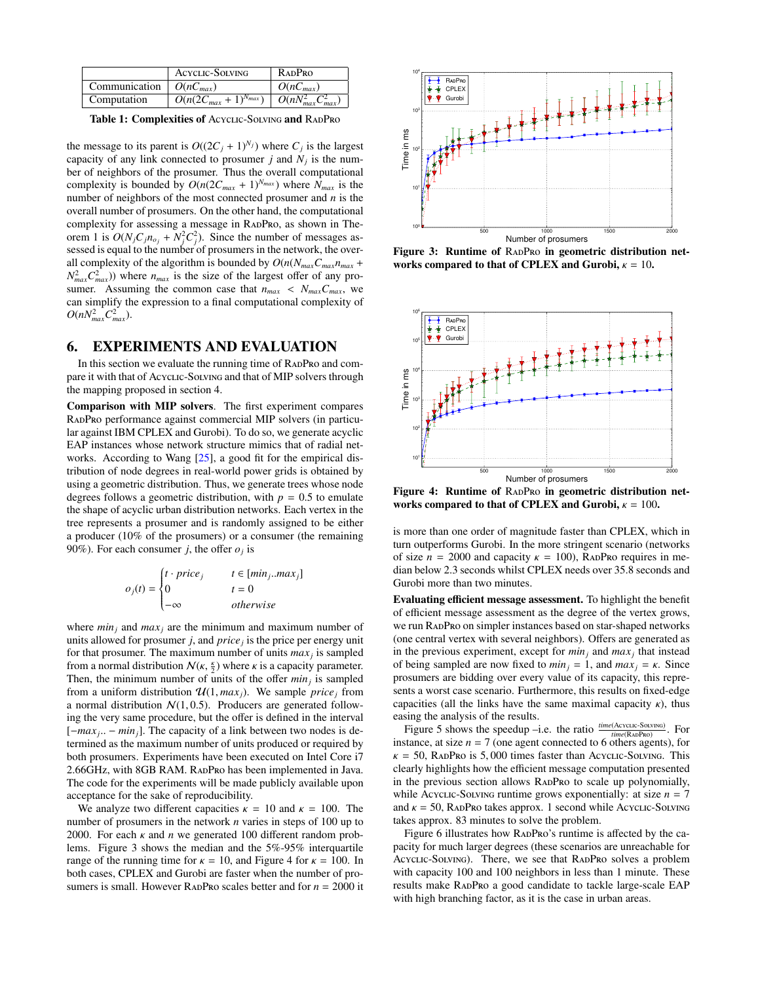|                                      | <b>ACYCLIC-SOLVING</b>                                                      | <b>RADPRO</b> |
|--------------------------------------|-----------------------------------------------------------------------------|---------------|
| Communication $\mid O(nC_{max})\mid$ |                                                                             | $O(nC_{max})$ |
| Computation                          | $\overline{O(n(2C_{max}+1)^{N_{max}})}$ $\overline{O(nN_{max}^2C_{max}^2)}$ |               |

Table 1: Complexities of Acyclic-Solving and RADPRO

the message to its parent is  $O((2C_j + 1)^{N_j})$  where  $C_j$  is the largest capacity of any link connected to prosumer  $j$  and  $N_j$  is the number of neighbors of the prosumer. Thus the overall computational complexity is bounded by  $O(n(2C_{max} + 1)^{N_{max}})$  where  $N_{max}$  is the number of neighbors of the most connected prosumer and *n* is the overall number of prosumers. On the other hand, the computational complexity for assessing a message in RADPRO, as shown in The-orem [1](#page-5-5) is  $O(N_j C_j n_{o_j} + N_j^2 C_j^2)$ . Since the number of messages assessed is equal to the number of prosumers in the network, the overall complexity of the algorithm is bounded by  $O(n(N_{max}C_{max}n_{max} +$  $N_{max}^2 C_{max}^2$ )) where  $n_{max}$  is the size of the largest offer of any prosumer. Assuming the common case that  $n_{max} < N_{max}C_{max}$ , we can simplify the expression to a final computational complexity of  $O(nN_{max}^2C_{max}^2)$ .

### <span id="page-6-0"></span>6. EXPERIMENTS AND EVALUATION

In this section we evaluate the running time of RADPRO and compare it with that of Acyclic-Solving and that of MIP solvers through the mapping proposed in section [4.](#page-3-0)

Comparison with MIP solvers. The first experiment compares R[ad](#page-0-0)Pro performance against commercial MIP solvers (in particular against IBM CPLEX and Gurobi). To do so, we generate acyclic EAP instances whose network structure mimics that of radial networks. According to Wang [\[25\]](#page-8-23), a good fit for the empirical distribution of node degrees in real-world power grids is obtained by using a geometric distribution. Thus, we generate trees whose node degrees follows a geometric distribution, with  $p = 0.5$  to emulate the shape of acyclic urban distribution networks. Each vertex in the tree represents a prosumer and is randomly assigned to be either a producer (10% of the prosumers) or a consumer (the remaining 90%). For each consumer *j*, the offer  $o_j$  is

$$
o_j(t) = \begin{cases} t \cdot \text{price}_j & t \in [min_j .. max_j] \\ 0 & t = 0 \\ -\infty & otherwise \end{cases}
$$

where  $min<sub>j</sub>$  and  $max<sub>j</sub>$  are the minimum and maximum number of units allowed for prosumer *j*, and *price<sup>j</sup>* is the price per energy unit for that prosumer. The maximum number of units *max<sup>j</sup>* is sampled from a normal distribution  $N(\kappa, \frac{\kappa}{2})$  where  $\kappa$  is a capacity parameter.<br>Then, the minimum number of units of the offer *min* is sampled Then, the minimum number of units of the offer *min<sup>j</sup>* is sampled from a uniform distribution  $\mathcal{U}(1, \text{max}_i)$ . We sample *price j* from a normal distribution  $N(1, 0.5)$ . Producers are generated following the very same procedure, but the offer is defined in the interval [*-max<sub>j</sub>*.. − *min<sub>j</sub>*]. The capacity of a link between two nodes is determined as the maximum number of units produced or required by termined as the maximum number of units produced or required by both prosumers. Experiments have been executed on Intel Core i7 2.66GHz, with 8GB RAM. R[ad](#page-0-0)Pro has been implemented in Java. The code for the experiments will be made publicly available upon acceptance for the sake of reproducibility.

We analyze two different capacities  $\kappa = 10$  and  $\kappa = 100$ . The number of prosumers in the network *n* varies in steps of 100 up to 2000. For each  $\kappa$  and  $n$  we generated 100 different random problems. Figure [3](#page-6-1) shows the median and the 5%-95% interquartile range of the running time for  $\kappa = 10$ , and Figure [4](#page-6-2) for  $\kappa = 100$ . In both cases, CPLEX and Gurobi are faster when the number of prosumers is small. However RADPRO scales better and for  $n = 2000$  it



<span id="page-6-1"></span>Figure 3: Runtime of RADPRO in geometric distribution networks compared to that of CPLEX and Gurobi,  $\kappa = 10$ .



<span id="page-6-2"></span>Figure 4: Runtime of RADPRO in geometric distribution networks compared to that of CPLEX and Gurobi,  $\kappa = 100$ .

is more than one order of magnitude faster than CPLEX, which in turn outperforms Gurobi. In the more stringent scenario (networks of size  $n = 2000$  and capacity  $\kappa = 100$ ), RADPRO requires in median below 2.3 seconds whilst CPLEX needs over 35.8 seconds and Gurobi more than two minutes.

Evaluating efficient message assessment. To highlight the benefit of efficient message assessment as the degree of the vertex grows, we run R[ad](#page-0-0)Pro on simpler instances based on star-shaped networks (one central vertex with several neighbors). Offers are generated as in the previous experiment, except for *min<sup>j</sup>* and *max<sup>j</sup>* that instead of being sampled are now fixed to  $min_i = 1$ , and  $max_i = \kappa$ . Since prosumers are bidding over every value of its capacity, this represents a worst case scenario. Furthermore, this results on fixed-edge capacities (all the links have the same maximal capacity  $\kappa$ ), thus easing the analysis of the results.

Figure [5](#page-7-2) shows the speedup -i.e. the ratio  $\frac{time(Acvcuc-SouvING)}{time(RADPRO)}$  $\frac{time(Acvcuc-SouvING)}{time(RADPRO)}$  $\frac{time(Acvcuc-SouvING)}{time(RADPRO)}$ . For instance, at size  $n = 7$  (one agent connected to 6 others agents), for  $\kappa = 50$ , RADPRO is 5,000 times faster than Acyclic-Solving. This clearly highlights how the efficient message computation presented in the previous section allows RADPRO to scale up polynomially, while Acyclic-Solving runtime grows exponentially: at size  $n = 7$ and  $\kappa = 50$ , RADPRO takes approx. 1 second while Acyclic-Solving takes approx. 83 minutes to solve the problem.

Figure [6](#page-7-3) illustrates how RADPRO's runtime is affected by the capacity for much larger degrees (these scenarios are unreachable for Acyclic-Solving). There, we see that RADPRO solves a problem with capacity 100 and 100 neighbors in less than 1 minute. These results make R[ad](#page-0-0)Pro a good candidate to tackle large-scale EAP with high branching factor, as it is the case in urban areas.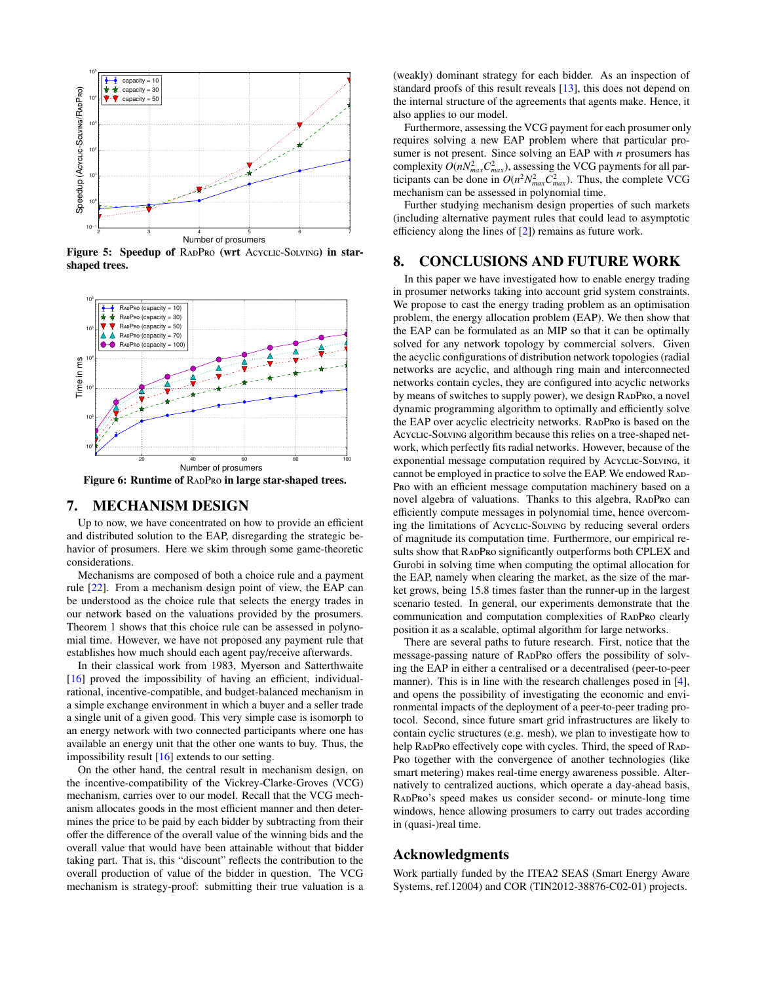

<span id="page-7-2"></span>Figure 5: Speedup of RADPRO (wrt Acyclic-Solving) in starshaped trees.



<span id="page-7-3"></span>Figure 6: Runtime of RADPRO in large star-shaped trees.

### <span id="page-7-0"></span>7. MECHANISM DESIGN

Up to now, we have concentrated on how to provide an efficient and distributed solution to the EAP, disregarding the strategic behavior of prosumers. Here we skim through some game-theoretic considerations.

Mechanisms are composed of both a choice rule and a payment rule [\[22\]](#page-8-24). From a mechanism design point of view, the EAP can be understood as the choice rule that selects the energy trades in our network based on the valuations provided by the prosumers. Theorem [1](#page-5-5) shows that this choice rule can be assessed in polynomial time. However, we have not proposed any payment rule that establishes how much should each agent pay/receive afterwards.

In their classical work from 1983, Myerson and Satterthwaite [\[16\]](#page-8-25) proved the impossibility of having an efficient, individualrational, incentive-compatible, and budget-balanced mechanism in a simple exchange environment in which a buyer and a seller trade a single unit of a given good. This very simple case is isomorph to an energy network with two connected participants where one has available an energy unit that the other one wants to buy. Thus, the impossibility result [\[16\]](#page-8-25) extends to our setting.

On the other hand, the central result in mechanism design, on the incentive-compatibility of the Vickrey-Clarke-Groves (VCG) mechanism, carries over to our model. Recall that the VCG mechanism allocates goods in the most efficient manner and then determines the price to be paid by each bidder by subtracting from their offer the difference of the overall value of the winning bids and the overall value that would have been attainable without that bidder taking part. That is, this "discount" reflects the contribution to the overall production of value of the bidder in question. The VCG mechanism is strategy-proof: submitting their true valuation is a (weakly) dominant strategy for each bidder. As an inspection of standard proofs of this result reveals [\[13\]](#page-8-26), this does not depend on the internal structure of the agreements that agents make. Hence, it also applies to our model.

Furthermore, assessing the VCG payment for each prosumer only requires solving a new EAP problem where that particular prosumer is not present. Since solving an EAP with *n* prosumers has complexity  $O(nN_{max}^2C_{max}^2)$ , assessing the VCG payments for all participants can be done in  $O(n^2 N_{max}^2 C_{max}^2)$ . Thus, the complete VCG mechanism can be assessed in polynomial time.

Further studying mechanism design properties of such markets (including alternative payment rules that could lead to asymptotic efficiency along the lines of [\[2\]](#page-8-27)) remains as future work.

#### <span id="page-7-1"></span>8. CONCLUSIONS AND FUTURE WORK

In this paper we have investigated how to enable energy trading in prosumer networks taking into account grid system constraints. We propose to cast the energy trading problem as an optimisation problem, the energy allocation problem (EAP). We then show that the EAP can be formulated as an MIP so that it can be optimally solved for any network topology by commercial solvers. Given the acyclic configurations of distribution network topologies (radial networks are acyclic, and although ring main and interconnected networks contain cycles, they are configured into acyclic networks by means of switches to supply power), we design RADPRO, a novel dynamic programming algorithm to optimally and efficiently solve the EAP over acyclic electricity networks. RADPRO is based on the Acyclic-Solving algorithm because this relies on a tree-shaped network, which perfectly fits radial networks. However, because of the exponential message computation required by Acyclic-Solving, it cannot be employed in practice to solve the EAP. We endowed RAD-P[ro](#page-0-0) with an efficient message computation machinery based on a novel algebra of valuations. Thanks to this algebra, RADPRO can efficiently compute messages in polynomial time, hence overcoming the limitations of Acyclic-Solving by reducing several orders of magnitude its computation time. Furthermore, our empirical results show that RADPRO significantly outperforms both CPLEX and Gurobi in solving time when computing the optimal allocation for the EAP, namely when clearing the market, as the size of the market grows, being 15.8 times faster than the runner-up in the largest scenario tested. In general, our experiments demonstrate that the communication and computation complexities of RADPRO clearly position it as a scalable, optimal algorithm for large networks.

There are several paths to future research. First, notice that the message-passing nature of R[ad](#page-0-0)Pro offers the possibility of solving the EAP in either a centralised or a decentralised (peer-to-peer manner). This is in line with the research challenges posed in [\[4\]](#page-8-2), and opens the possibility of investigating the economic and environmental impacts of the deployment of a peer-to-peer trading protocol. Second, since future smart grid infrastructures are likely to contain cyclic structures (e.g. mesh), we plan to investigate how to help RADPRO effectively cope with cycles. Third, the speed of RAD-P[ro](#page-0-0) together with the convergence of another technologies (like smart metering) makes real-time energy awareness possible. Alternatively to centralized auctions, which operate a day-ahead basis, R[ad](#page-0-0)Pro's speed makes us consider second- or minute-long time windows, hence allowing prosumers to carry out trades according in (quasi-)real time.

### Acknowledgments

Work partially funded by the ITEA2 SEAS (Smart Energy Aware Systems, ref.12004) and COR (TIN2012-38876-C02-01) projects.